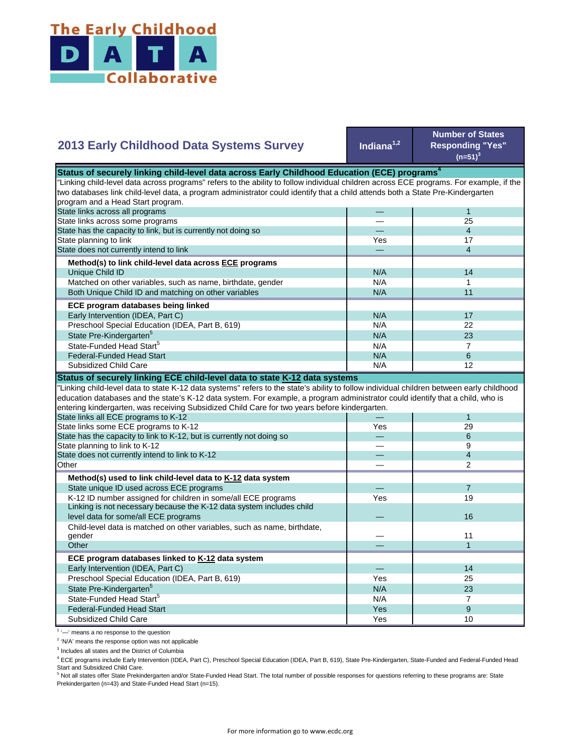

## **Indiana1,2 Number of States Responding "Yes"**   $(n=51)^{3}$ — 1 — 25 — 4 Yes **17** — 4 N/A 14  $N/A$  1 N/A 11  $N/A$  17 N/A 22  $N/A$  23  $N/A$  7 State Pre-Kindergarten<sup>5</sup> State-Funded Head Start<sup>5</sup> Matched on other variables, such as name, birthdate, gender Both Unique Child ID and matching on other variables  **ECE program databases being linked**  Early Intervention (IDEA, Part C) Preschool Special Education (IDEA, Part B, 619) State has the capacity to link, but is currently not doing so State planning to link State does not currently intend to link  **Method(s) to link child-level data across ECE programs** Unique Child ID **2013 Early Childhood Data Systems Survey** Status of securely linking child-level data across Early Childhood Education (ECE) programs<sup>4</sup> "Linking child-level data across programs" refers to the ability to follow individual children across ECE programs. For example, if the two databases link child-level data, a program administrator could identify that a child attends both a State Pre-Kindergarten program and a Head Start program. State links across all programs State links across some programs  $N/A$  6 N/A **1** 12 — 1 Yes 29 — 6 — 9 — 4 — 2 — 7 Yes 19  $\overline{\phantom{0}}$ — 11 — 1 — 14 Yes I 25 N/A 23  $N/A$  7 Yes and the set of the set of the set of the set of the set of the set of the set of the set of the set of the Yes 10 Preschool Special Education (IDEA, Part B, 619) State Pre-Kindergarten<sup>5</sup> State-Funded Head Start<sup>5</sup> Federal-Funded Head Start Subsidized Child Care Child-level data is matched on other variables, such as name, birthdate, gender **Other ECE program databases linked to K-12 data system** Early Intervention (IDEA, Part C) **Other Method(s) used to link child-level data to K-12 data system** State unique ID used across ECE programs K-12 ID number assigned for children in some/all ECE programs Linking is not necessary because the K-12 data system includes child level data for some/all ECE programs 16 and 200 minutes and 200 minutes of the control of the control of the control of the control of the control of the control of the control of the control of the control of the control "Linking child-level data to state K-12 data systems" refers to the state's ability to follow individual children between early childhood education databases and the state's K-12 data system. For example, a program administrator could identify that a child, who is entering kindergarten, was receiving Subsidized Child Care for two years before kindergarten. State links all ECE programs to K-12 State links some ECE programs to K-12 State has the capacity to link to K-12, but is currently not doing so State planning to link to K-12 State does not currently intend to link to K-12 Federal-Funded Head Start Subsidized Child Care **Status of securely linking ECE child-level data to state K-12 data systems**

<sup>1</sup> '-' means a no response to the question

<sup>2</sup> 'N/A' means the response option was not applicable

<sup>3</sup> Includes all states and the District of Columbia

<sup>4</sup> ECE programs include Early Intervention (IDEA, Part C), Preschool Special Education (IDEA, Part B, 619), State Pre-Kindergarten, State-Funded and Federal-Funded Head Start and Subsidized Child Care.

<sup>5</sup> Not all states offer State Prekindergarten and/or State-Funded Head Start. The total number of possible responses for questions referring to these programs are: State Prekindergarten (n=43) and State-Funded Head Start (n=15).